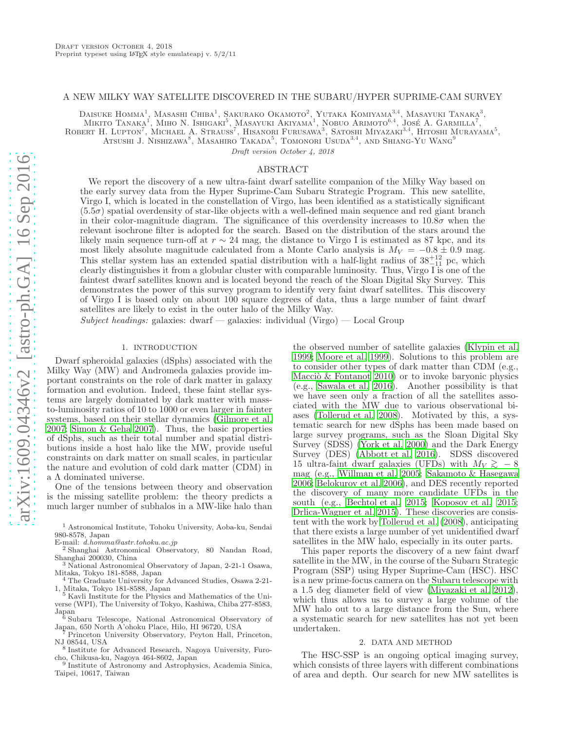# A NEW MILKY WAY SATELLITE DISCOVERED IN THE SUBARU/HYPER SUPRIME-CAM SURVEY

Daisuke Homma<sup>1</sup>, Masashi Chiba<sup>1</sup>, Sakurako Okamoto<sup>2</sup>, Yutaka Komiyama<sup>3,4</sup>, Masayuki Tanaka<sup>3</sup>,

Mikito Tanaka<sup>1</sup>, Miho N. Ishigaki<sup>5</sup>, Masayuki Akiyama<sup>1</sup>, Nobuo Arimoto<sup>6,4</sup>, José A. Garmilla<sup>7</sup>,

ROBERT H. LUPTON<sup>7</sup>, MICHAEL A. STRAUSS<sup>7</sup>, HISANORI FURUSAWA<sup>3</sup>, SATOSHI MIYAZAKI<sup>3,4</sup>, HITOSHI MURAYAMA<sup>5</sup>,

Atsushi J. Nishizawa<sup>8</sup>, Masahiro Takada<sup>5</sup>, Tomonori Usuda<sup>3,4</sup>, and Shiang-Yu Wang<sup>9</sup>

Draft version October 4, 2018

#### ABSTRACT

We report the discovery of a new ultra-faint dwarf satellite companion of the Milky Way based on the early survey data from the Hyper Suprime-Cam Subaru Strategic Program. This new satellite, Virgo I, which is located in the constellation of Virgo, has been identified as a statistically significant (5.5σ) spatial overdensity of star-like objects with a well-defined main sequence and red giant branch in their color-magnitude diagram. The significance of this overdensity increases to  $10.8\sigma$  when the relevant isochrone filter is adopted for the search. Based on the distribution of the stars around the likely main sequence turn-off at  $r \sim 24$  mag, the distance to Virgo I is estimated as 87 kpc, and its most likely absolute magnitude calculated from a Monte Carlo analysis is  $M_V = -0.8 \pm 0.9$  mag. This stellar system has an extended spatial distribution with a half-light radius of  $38^{+12}_{-11}$  pc, which clearly distinguishes it from a globular cluster with comparable luminosity. Thus, Virgo I is one of the faintest dwarf satellites known and is located beyond the reach of the Sloan Digital Sky Survey. This demonstrates the power of this survey program to identify very faint dwarf satellites. This discovery of Virgo I is based only on about 100 square degrees of data, thus a large number of faint dwarf satellites are likely to exist in the outer halo of the Milky Way.

 $Subject$  headings: galaxies: dwarf — galaxies: individual (Virgo) — Local Group

### 1. INTRODUCTION

Dwarf spheroidal galaxies (dSphs) associated with the Milky Way (MW) and Andromeda galaxies provide important constraints on the role of dark matter in galaxy formation and evolution. Indeed, these faint stellar systems are largely dominated by dark matter with massto-luminosity ratios of 10 to 1000 or even larger in fainter systems, based on their stellar dynamics [\(Gilmore et al.](#page-5-0) [2007;](#page-5-0) [Simon & Geha 2007\)](#page-5-1). Thus, the basic properties of dSphs, such as their total number and spatial distributions inside a host halo like the MW, provide useful constraints on dark matter on small scales, in particular the nature and evolution of cold dark matter (CDM) in a  $\Lambda$  dominated universe.

One of the tensions between theory and observation is the missing satellite problem: the theory predicts a much larger number of subhalos in a MW-like halo than

<sup>2</sup> Shanghai Astronomical Observatory, 80 Nandan Road, Shanghai 200030, China

<sup>3</sup> National Astronomical Observatory of Japan, 2-21-1 Osawa, Mitaka, Tokyo 181-8588, Japan

<sup>4</sup> The Graduate University for Advanced Studies, Osawa 2-21- 1, Mitaka, Tokyo 181-8588, Japan <sup>5</sup> Kavli Institute for the Physics and Mathematics of the Uni-

verse (WPI), The University of Tokyo, Kashiwa, Chiba 277-8583, Japan

<sup>6</sup> Subaru Telescope, National Astronomical Observatory of Japan, 650 North A'ohoku Place, Hilo, HI 96720, USA

<sup>7</sup> Princeton University Observatory, Peyton Hall, Princeton, NJ 08544, USA

cho, Chikusa-ku, Nagoya 464-8602, Japan 9 Institute of Astronomy and Astrophysics, Academia Sinica, Taipei, 10617, Taiwan

the observed number of satellite galaxies [\(Klypin et al.](#page-5-2) [1999;](#page-5-2) [Moore et al. 1999\)](#page-5-3). Solutions to this problem are to consider other types of dark matter than CDM (e.g., Macciò  $\&$  Fontanot 2010) or to invoke baryonic physics (e.g., [Sawala et al. 2016\)](#page-5-5). Another possibility is that we have seen only a fraction of all the satellites associated with the MW due to various observational biases [\(Tollerud et al. 2008\)](#page-5-6). Motivated by this, a systematic search for new dSphs has been made based on large survey programs, such as the Sloan Digital Sky Survey (SDSS) [\(York et al. 2000\)](#page-5-7) and the Dark Energy Survey (DES) [\(Abbott et al. 2016](#page-5-8)). SDSS discovered 15 ultra-faint dwarf galaxies (UFDs) with  $M_V \gtrsim 8$ mag (e.g., [Willman et al. 2005](#page-5-9); [Sakamoto & Hasegawa](#page-5-10) [2006;](#page-5-10) [Belokurov et al. 2006\)](#page-5-11), and DES recently reported the discovery of many more candidate UFDs in the south (e.g., [Bechtol et al. 2015;](#page-5-12) [Koposov et al. 2015](#page-5-13); [Drlica-Wagner et al. 2015\)](#page-5-14). These discoveries are consistent with the work by [Tollerud et al. \(2008\)](#page-5-6), anticipating that there exists a large number of yet unidentified dwarf satellites in the MW halo, especially in its outer parts.

This paper reports the discovery of a new faint dwarf satellite in the MW, in the course of the Subaru Strategic Program (SSP) using Hyper Suprime-Cam (HSC). HSC is a new prime-focus camera on the Subaru telescope with a 1.5 deg diameter field of view [\(Miyazaki et al. 2012](#page-5-15)), which thus allows us to survey a large volume of the MW halo out to a large distance from the Sun, where a systematic search for new satellites has not yet been undertaken.

#### 2. DATA AND METHOD

The HSC-SSP is an ongoing optical imaging survey, which consists of three layers with different combinations of area and depth. Our search for new MW satellites is

<sup>1</sup> Astronomical Institute, Tohoku University, Aoba-ku, Sendai 980-8578, Japan

E-mail: d.homma@astr.tohoku.ac.jp

<sup>8</sup> Institute for Advanced Research, Nagoya University, Furo-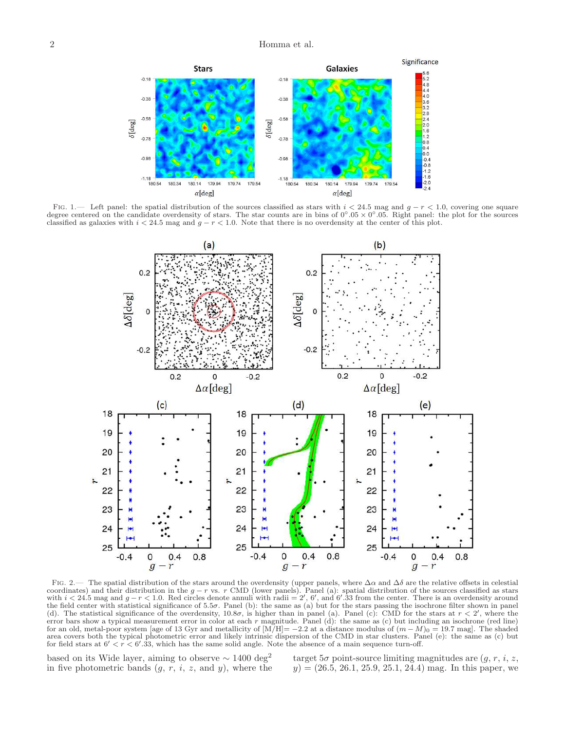

FIG. 1.— Left panel: the spatial distribution of the sources classified as stars with  $i < 24.5$  mag and  $g - r < 1.0$ , covering one square degree centered on the candidate overdensity of stars. The star counts are in bins of classified as galaxies with  $i < 24.5$  mag and  $g - r < 1.0$ . Note that there is no overdensity at the center of this plot.

<span id="page-1-0"></span>

<span id="page-1-1"></span>FIG. 2.— The spatial distribution of the stars around the overdensity (upper panels, where  $\Delta \alpha$  and  $\Delta \delta$  are the relative offsets in celestial coordinates) and their distribution in the  $g-r$  vs. r CMD (lower panels). Panel (a): spatial distribution of the sources classified as stars with  $i < 24.5$  mag and  $g-r < 1.0$ . Red circles denote annuli with radii = 2', 6', the field center with statistical significance of  $5.5\sigma$ . Panel (b): the same as (a) but for the stars passing the isochrone filter shown in panel (d). The statistical significance of the overdensity,  $10.8\sigma$ , is higher than in panel (a). Panel (c): CMD for the stars at  $r < 2'$ , where the error bars show a typical measurement error in color at each  $r$  magnitude. Panel (d): the same as (c) but including an isochrone (red line) for an old, metal-poor system [age of 13 Gyr and metallicity of  $[M/H]=-2.2$  at a distance modulus of  $(m-M)_0=19.7$  mag]. The shaded area covers both the typical photometric error and likely intrinsic dispersion of the CMD in star clusters. Panel (e): the same as (c) but for field stars at  $6' < r < 6'$ .33, which has the same solid angle. Note the absence of a main sequence turn-off.

based on its Wide layer, aiming to observe  $\sim 1400 \,\deg^2$ in five photometric bands  $(g, r, i, z, \text{ and } y)$ , where the

target  $5\sigma$  point-source limiting magnitudes are  $(q, r, i, z, z)$  $y$  = (26.5, 26.1, 25.9, 25.1, 24.4) mag. In this paper, we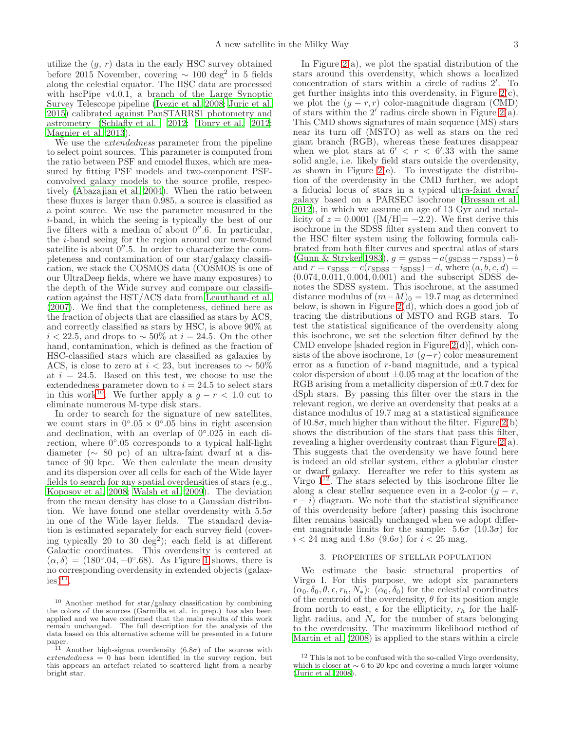utilize the  $(g, r)$  data in the early HSC survey obtained before 2015 November, covering  $\sim 100 \text{ deg}^2$  in 5 fields along the celestial equator. The HSC data are processed with hscPipe v4.0.1, a branch of the Large Synoptic Survey Telescope pipeline [\(Ivezic et al. 2008](#page-5-16); [Juric et al.](#page-5-17) [2015\)](#page-5-17) calibrated against PanSTARRS1 photometry and astrometry [\(Schlafly et al. 2012;](#page-5-18) [Tonry et al. 2012;](#page-5-19) [Magnier et al. 2013](#page-5-20)).

We use the *extendedness* parameter from the pipeline to select point sources. This parameter is computed from the ratio between PSF and cmodel fluxes, which are measured by fitting PSF models and two-component PSFconvolved galaxy models to the source profile, respectively [\(Abazajian et al. 2004\)](#page-5-21). When the ratio between these fluxes is larger than 0.985, a source is classified as a point source. We use the parameter measured in the i-band, in which the seeing is typically the best of our five filters with a median of about  $0''$ .6. In particular, the i-band seeing for the region around our new-found satellite is about  $0''$ .5. In order to characterize the completeness and contamination of our star/galaxy classification, we stack the COSMOS data (COSMOS is one of our UltraDeep fields, where we have many exposures) to the depth of the Wide survey and compare our classification against the HST/ACS data from [Leauthaud et al.](#page-5-22) [\(2007\)](#page-5-22). We find that the completeness, defined here as the fraction of objects that are classified as stars by ACS, and correctly classified as stars by HSC, is above 90% at  $i < 22.5$ , and drops to  $\sim 50\%$  at  $i = 24.5$ . On the other hand, contamination, which is defined as the fraction of HSC-classified stars which are classified as galaxies by ACS, is close to zero at  $i < 23$ , but increases to ~ 50% at  $i = 24.5$ . Based on this test, we choose to use the extendedness parameter down to  $i = 24.5$  to select stars in this work<sup>[10](#page-2-0)</sup>. We further apply a  $g - r < 1.0$  cut to eliminate numerous M-type disk stars.

In order to search for the signature of new satellites, we count stars in  $0°.05 \times 0°.05$  bins in right ascension and declination, with an overlap of  $0°.025$  in each direction, where  $0°.05$  corresponds to a typical half-light diameter (∼ 80 pc) of an ultra-faint dwarf at a distance of 90 kpc. We then calculate the mean density and its dispersion over all cells for each of the Wide layer fields to search for any spatial overdensities of stars (e.g., [Koposov et al. 2008;](#page-5-23) [Walsh et al. 2009\)](#page-5-24). The deviation from the mean density has close to a Gaussian distribution. We have found one stellar overdensity with  $5.5\sigma$ in one of the Wide layer fields. The standard deviation is estimated separately for each survey field (covering typically 20 to 30  $deg^2$ ; each field is at different Galactic coordinates. This overdensity is centered at  $(\alpha, \delta) = (180^\circ.04, -0^\circ.68)$ . As Figure [1](#page-1-0) shows, there is no corresponding overdensity in extended objects (galax $i$ es)<sup>[11](#page-2-1)</sup>.

In Figure  $2(a)$ , we plot the spatial distribution of the stars around this overdensity, which shows a localized concentration of stars within a circle of radius 2′ . To get further insights into this overdensity, in Figure  $2(c)$ , we plot the  $(g - r, r)$  color-magnitude diagram (CMD) of stars within the 2' radius circle shown in Figure [2\(](#page-1-1)a). This CMD shows signatures of main sequence (MS) stars near its turn off (MSTO) as well as stars on the red giant branch (RGB), whereas these features disappear when we plot stars at  $6' < r < 6'$ .33 with the same solid angle, i.e. likely field stars outside the overdensity, as shown in Figure 2 $(e)$ . To investigate the distribution of the overdensity in the CMD further, we adopt a fiducial locus of stars in a typical ultra-faint dwarf galaxy based on a PARSEC isochrone [\(Bressan et al.](#page-5-25) [2012\)](#page-5-25), in which we assume an age of 13 Gyr and metallicity of  $z = 0.0001$  ([M/H]= -2.2). We first derive this isochrone in the SDSS filter system and then convert to the HSC filter system using the following formula calibrated from both filter curves and spectral atlas of stars [\(Gunn & Stryker 1983\)](#page-5-26),  $g = g_{\text{SDSS}} - a(g_{\text{SDSS}} - r_{\text{SDSS}}) - b$ and  $r = r_{\text{SDSS}} - c(r_{\text{SDSS}} - i_{\text{SDSS}}) - d$ , where  $(a, b, c, d)$ (0.074, 0.011, 0.004, 0.001) and the subscript SDSS denotes the SDSS system. This isochrone, at the assumed distance modulus of  $(m-M)_0 = 19.7$  mag as determined below, is shown in Figure  $2(d)$ , which does a good job of tracing the distributions of MSTO and RGB stars. To test the statistical significance of the overdensity along this isochrone, we set the selection filter defined by the CMD envelope [shaded region in Figure  $2(d)$ ], which consists of the above isochrone,  $1\sigma (g-r)$  color measurement error as a function of r-band magnitude, and a typical color dispersion of about  $\pm 0.05$  mag at the location of the RGB arising from a metallicity dispersion of  $\pm 0.7$  dex for dSph stars. By passing this filter over the stars in the relevant region, we derive an overdensity that peaks at a distance modulus of 19.7 mag at a statistical significance of  $10.8\sigma$ , much higher than without the filter. Figure  $2(b)$ shows the distribution of the stars that pass this filter, revealing a higher overdensity contrast than Figure [2\(](#page-1-1)a). This suggests that the overdensity we have found here is indeed an old stellar system, either a globular cluster or dwarf galaxy. Hereafter we refer to this system as Virgo  $I^{12}$  $I^{12}$  $I^{12}$ . The stars selected by this isochrone filter lie along a clear stellar sequence even in a 2-color  $(g - r)$ ,  $r - i$ ) diagram. We note that the statistical significance of this overdensity before (after) passing this isochrone filter remains basically unchanged when we adopt different magnitude limits for the sample:  $5.6\sigma$  (10.3 $\sigma$ ) for  $i < 24$  mag and  $4.8\sigma$  (9.6 $\sigma$ ) for  $i < 25$  mag.

# 3. PROPERTIES OF STELLAR POPULATION

We estimate the basic structural properties of Virgo I. For this purpose, we adopt six parameters  $(\alpha_0, \delta_0, \theta, \epsilon, r_h, N_*)$ :  $(\alpha_0, \delta_0)$  for the celestial coordinates of the centroid of the overdensity,  $\theta$  for its position angle from north to east,  $\epsilon$  for the ellipticity,  $r_h$  for the halflight radius, and  $N_*$  for the number of stars belonging to the overdensity. The maximum likelihood method of [Martin et al. \(2008\)](#page-5-27) is applied to the stars within a circle

<span id="page-2-0"></span><sup>10</sup> Another method for star/galaxy classification by combining the colors of the sources (Garmilla et al. in prep.) has also been applied and we have confirmed that the main results of this work remain unchanged. The full description for the analysis of the data based on this alternative scheme will be presented in a future

<span id="page-2-1"></span>paper.<br><sup>11</sup> Another high-sigma overdensity  $(6.8\sigma)$  of the sources with  $extendedness = 0$  has been identified in the survey region, but this appears an artefact related to scattered light from a nearby bright star.

<span id="page-2-2"></span> $12$  This is not to be confused with the so-called Virgo overdensity, which is closer at  $\sim$  6 to 20 kpc and covering a much larger volume [\(Juric et al. 2008\)](#page-5-28).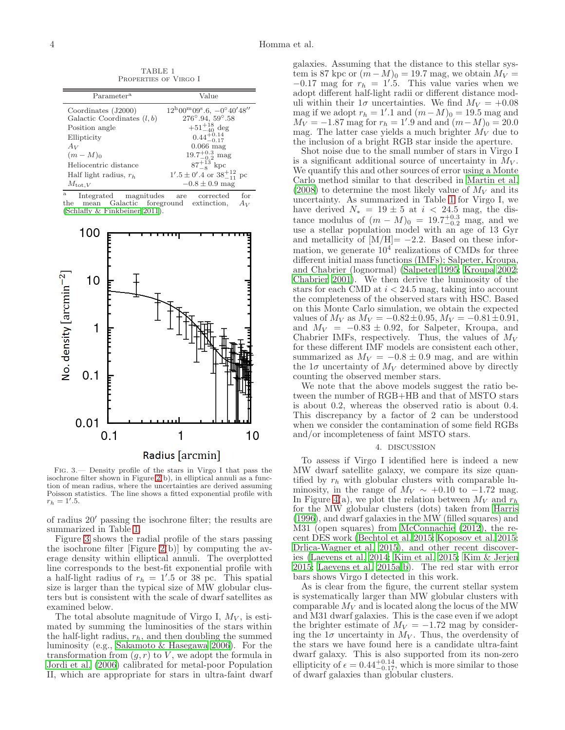<span id="page-3-0"></span>

| Parameter <sup>a</sup>        | Value                                                                      |
|-------------------------------|----------------------------------------------------------------------------|
| Coordinates $(J2000)$         | $12^{\rm h}00^{\rm m}09^{\rm s}.6, -0^{\circ}40^{\prime}48^{\prime\prime}$ |
| Galactic Coordinates $(l, b)$ | $276^{\circ}.94, 59^{\circ}.58$                                            |
| Position angle                | $+51^{+18}_{-40}$ deg                                                      |
| Ellipticity                   | $0.44_{-0.17}^{+0.14}$                                                     |
| $A_V$                         | $0.066$ mag                                                                |
| $(m-M)0$                      | $19.7^{+0.3}_{-0.2}$ mag                                                   |
| Heliocentric distance         | $87^{+13}_{-8}$ kpc                                                        |
| Half light radius, $r_h$      | $1'.5 \pm 0'.4$ or $38^{+12}_{-11}$ pc                                     |
| $M_{\text{tot},V}$            | $-0.8 \pm 0.9$ mag                                                         |

TABLE 1 Properties of Virgo I

a Integrated magnitudes are corrected for mean Galactic foreground extinction,  $A_V$ the mean Galactic foreground extinction,  $A_V$ [\(Schlafly & Finkbeiner 2011](#page-5-29)).



<span id="page-3-1"></span>Fig. 3.— Density profile of the stars in Virgo I that pass the isochrone filter shown in Figure [2\(](#page-1-1)b), in elliptical annuli as a function of mean radius, where the uncertainties are derived assuming Poisson statistics. The line shows a fitted exponential profile with  $r_h = 1'.5.$ 

of radius 20′ passing the isochrone filter; the results are summarized in Table [1.](#page-3-0)

Figure [3](#page-3-1) shows the radial profile of the stars passing the isochrone filter [Figure [2\(](#page-1-1)b)] by computing the average density within elliptical annuli. The overplotted line corresponds to the best-fit exponential profile with a half-light radius of  $r_h = 1'$ .5 or 38 pc. This spatial size is larger than the typical size of MW globular clusters but is consistent with the scale of dwarf satellites as examined below.

The total absolute magnitude of Virgo I,  $M_V$ , is estimated by summing the luminosities of the stars within the half-light radius,  $r_h$ , and then doubling the summed luminosity (e.g., [Sakamoto & Hasegawa 2006](#page-5-10)). For the transformation from  $(g, r)$  to V, we adopt the formula in [Jordi et al. \(2006\)](#page-5-30) calibrated for metal-poor Population II, which are appropriate for stars in ultra-faint dwarf galaxies. Assuming that the distance to this stellar system is 87 kpc or  $(m-M)_0 = 19.7$  mag, we obtain  $M_V =$  $-0.17$  mag for  $r_h = 1'$ .5. This value varies when we adopt different half-light radii or different distance moduli within their  $1\sigma$  uncertainties. We find  $M_V = +0.08$ mag if we adopt  $r_h = 1'$ .1 and  $(m-M)_0 = 19.5$  mag and  $M_V = -1.87$  mag for  $r_h = 1'.9$  and and  $(m-M)_0 = 20.0$ mag. The latter case yields a much brighter  $\dot{M_V}$  due to the inclusion of a bright RGB star inside the aperture.

Shot noise due to the small number of stars in Virgo I is a significant additional source of uncertainty in  $M_V$ . We quantify this and other sources of error using a Monte Carlo method similar to that described in [Martin et al.](#page-5-27)  $(2008)$  to determine the most likely value of  $M_V$  and its uncertainty. As summarized in Table [1](#page-3-0) for Virgo I, we have derived  $N_* = 19 \pm 5$  at  $i < 24.5$  mag, the distance modulus of  $(m - M)_0 = 19.7^{+0.3}_{-0.2}$  mag, and we use a stellar population model with an age of 13 Gyr and metallicity of  $[M/H] = -2.2$ . Based on these information, we generate  $10^4$  realizations of CMDs for three different initial mass functions (IMFs); Salpeter, Kroupa, and Chabrier (lognormal) [\(Salpeter 1995;](#page-5-31) [Kroupa 2002](#page-5-32); [Chabrier 2001\)](#page-5-33). We then derive the luminosity of the stars for each CMD at  $i < 24.5$  mag, taking into account the completeness of the observed stars with HSC. Based on this Monte Carlo simulation, we obtain the expected values of  $M_V$  as  $M_V = -0.82 \pm 0.95$ ,  $M_V = -0.81 \pm 0.91$ , and  $M_V = -0.83 \pm 0.92$ , for Salpeter, Kroupa, and Chabrier IMFs, respectively. Thus, the values of  $M_V$ for these different IMF models are consistent each other, summarized as  $M_V = -0.8 \pm 0.9$  mag, and are within the  $1\sigma$  uncertainty of  $M_V$  determined above by directly counting the observed member stars.

We note that the above models suggest the ratio between the number of RGB+HB and that of MSTO stars is about 0.2, whereas the observed ratio is about 0.4. This discrepancy by a factor of 2 can be understood when we consider the contamination of some field RGBs and/or incompleteness of faint MSTO stars.

### 4. DISCUSSION

To assess if Virgo I identified here is indeed a new MW dwarf satellite galaxy, we compare its size quantified by  $r_h$  with globular clusters with comparable luminosity, in the range of  $M_V \sim +0.10$  to  $-1.72$  mag. In Figure [4\(](#page-4-0)a), we plot the relation between  $M_V$  and  $r_h$ for the MW globular clusters (dots) taken from [Harris](#page-5-34) [\(1996\)](#page-5-34), and dwarf galaxies in the MW (filled squares) and M31 (open squares) from [McConnachie \(2012](#page-5-35)), the recent DES work [\(Bechtol et al. 2015;](#page-5-12) [Koposov et al. 2015](#page-5-13); [Drlica-Wagner et al. 2015](#page-5-14)), and other recent discoveries [\(Laevens et al. 2014;](#page-5-36) [Kim et al. 2015;](#page-5-37) [Kim & Jerjen](#page-5-38) [2015;](#page-5-38) [Laevens et al. 2015a](#page-5-39)[,b](#page-5-40)). The red star with error bars shows Virgo I detected in this work.

As is clear from the figure, the current stellar system is systematically larger than MW globular clusters with comparable  $M_V$  and is located along the locus of the MW and M31 dwarf galaxies. This is the case even if we adopt the brighter estimate of  $M_V = -1.72$  mag by considering the  $1\sigma$  uncertainty in  $M_V$ . Thus, the overdensity of the stars we have found here is a candidate ultra-faint dwarf galaxy. This is also supported from its non-zero ellipticity of  $\epsilon = 0.44_{-0.17}^{+0.14}$ , which is more similar to those of dwarf galaxies than globular clusters.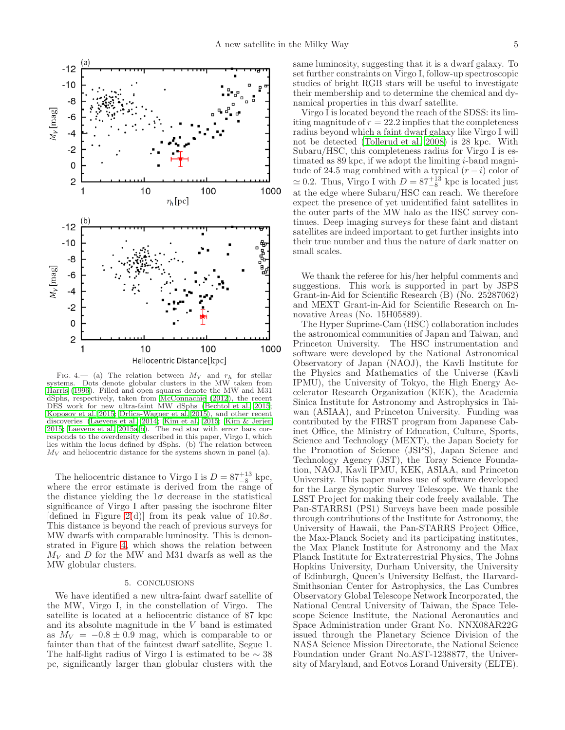

<span id="page-4-0"></span>FIG. 4.— (a) The relation between  $M_V$  and  $r_h$  for stellar systems. Dots denote globular clusters in the MW taken from [Harris \(1996](#page-5-34)). Filled and open squares denote the MW and M31 dSphs, respectively, taken from [McConnachie \(2012](#page-5-35)), the recent DES work for new ultra-faint MW dSphs [\(Bechtol et al. 2015;](#page-5-12) [Koposov et al. 2015](#page-5-13); [Drlica-Wagner et al. 2015\)](#page-5-14), and other recent discoveries [\(Laevens et al. 2014](#page-5-36); [Kim et al. 2015](#page-5-37); [Kim & Jerjen](#page-5-38) [2015;](#page-5-38) [Laevens et al. 2015a](#page-5-39)[,b\)](#page-5-40). The red star with error bars corresponds to the overdensity described in this paper, Virgo I, which lies within the locus defined by dSphs. (b) The relation between  $M_V$  and heliocentric distance for the systems shown in panel (a).

The heliocentric distance to Virgo I is  $D = 87^{+13}_{-8}$  kpc, where the error estimate is derived from the range of the distance yielding the  $1\sigma$  decrease in the statistical significance of Virgo I after passing the isochrone filter [defined in Figure [2\(](#page-1-1)d)] from its peak value of  $10.8\sigma$ . This distance is beyond the reach of previous surveys for MW dwarfs with comparable luminosity. This is demonstrated in Figure [4,](#page-4-0) which shows the relation between  $M_V$  and D for the MW and M31 dwarfs as well as the MW globular clusters.

## 5. CONCLUSIONS

We have identified a new ultra-faint dwarf satellite of the MW, Virgo I, in the constellation of Virgo. The satellite is located at a heliocentric distance of 87 kpc and its absolute magnitude in the V band is estimated as  $M_V = -0.8 \pm 0.9$  mag, which is comparable to or fainter than that of the faintest dwarf satellite, Segue 1. The half-light radius of Virgo I is estimated to be  $\sim 38$ pc, significantly larger than globular clusters with the

same luminosity, suggesting that it is a dwarf galaxy. To set further constraints on Virgo I, follow-up spectroscopic studies of bright RGB stars will be useful to investigate their membership and to determine the chemical and dynamical properties in this dwarf satellite.

Virgo I is located beyond the reach of the SDSS: its limiting magnitude of  $r = 22.2$  implies that the completeness radius beyond which a faint dwarf galaxy like Virgo I will not be detected [\(Tollerud et al. 2008](#page-5-6)) is 28 kpc. With Subaru/HSC, this completeness radius for Virgo I is estimated as 89 kpc, if we adopt the limiting *i*-band magnitude of 24.5 mag combined with a typical  $(r-i)$  color of  $\simeq 0.2$ . Thus, Virgo I with  $D = 87^{+13}_{-8}$  kpc is located just at the edge where Subaru/HSC can reach. We therefore expect the presence of yet unidentified faint satellites in the outer parts of the MW halo as the HSC survey continues. Deep imaging surveys for these faint and distant satellites are indeed important to get further insights into their true number and thus the nature of dark matter on small scales.

We thank the referee for his/her helpful comments and suggestions. This work is supported in part by JSPS Grant-in-Aid for Scientific Research (B) (No. 25287062) and MEXT Grant-in-Aid for Scientific Research on Innovative Areas (No. 15H05889).

The Hyper Suprime-Cam (HSC) collaboration includes the astronomical communities of Japan and Taiwan, and Princeton University. The HSC instrumentation and software were developed by the National Astronomical Observatory of Japan (NAOJ), the Kavli Institute for the Physics and Mathematics of the Universe (Kavli IPMU), the University of Tokyo, the High Energy Accelerator Research Organization (KEK), the Academia Sinica Institute for Astronomy and Astrophysics in Taiwan (ASIAA), and Princeton University. Funding was contributed by the FIRST program from Japanese Cabinet Office, the Ministry of Education, Culture, Sports, Science and Technology (MEXT), the Japan Society for the Promotion of Science (JSPS), Japan Science and Technology Agency (JST), the Toray Science Foundation, NAOJ, Kavli IPMU, KEK, ASIAA, and Princeton University. This paper makes use of software developed for the Large Synoptic Survey Telescope. We thank the LSST Project for making their code freely available. The Pan-STARRS1 (PS1) Surveys have been made possible through contributions of the Institute for Astronomy, the University of Hawaii, the Pan-STARRS Project Office, the Max-Planck Society and its participating institutes, the Max Planck Institute for Astronomy and the Max Planck Institute for Extraterrestrial Physics, The Johns Hopkins University, Durham University, the University of Edinburgh, Queen's University Belfast, the Harvard-Smithsonian Center for Astrophysics, the Las Cumbres Observatory Global Telescope Network Incorporated, the National Central University of Taiwan, the Space Telescope Science Institute, the National Aeronautics and Space Administration under Grant No. NNX08AR22G issued through the Planetary Science Division of the NASA Science Mission Directorate, the National Science Foundation under Grant No.AST-1238877, the University of Maryland, and Eotvos Lorand University (ELTE).